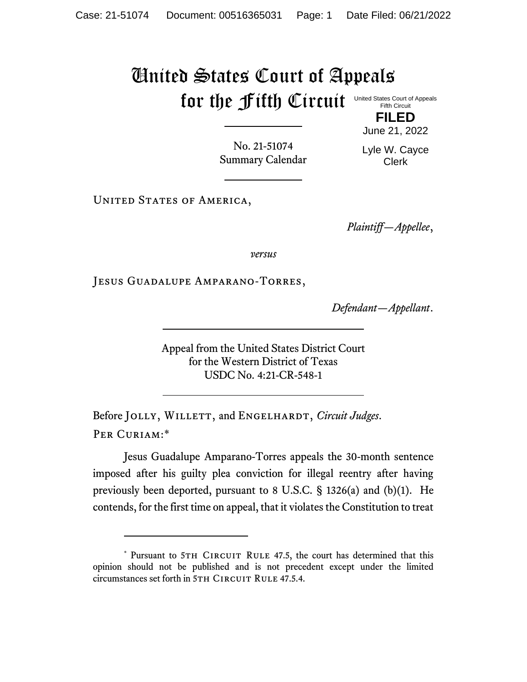## United States Court of Appeals for the Fifth Circuit United States Court of Appeals Fifth Circuit

No. 21-51074 Summary Calendar June 21, 2022 Lyle W. Cayce Clerk

**FILED**

UNITED STATES OF AMERICA,

*Plaintiff—Appellee*,

*versus*

Jesus Guadalupe Amparano-Torres,

*Defendant—Appellant*.

Appeal from the United States District Court for the Western District of Texas USDC No. 4:21-CR-548-1

Before JOLLY, WILLETT, and ENGELHARDT, *Circuit Judges*. Per Curiam:\*

Jesus Guadalupe Amparano-Torres appeals the 30-month sentence imposed after his guilty plea conviction for illegal reentry after having previously been deported, pursuant to 8 U.S.C. § 1326(a) and (b)(1). He contends, for the first time on appeal, that it violates the Constitution to treat

<sup>\*</sup> Pursuant to 5TH CIRCUIT RULE 47.5, the court has determined that this opinion should not be published and is not precedent except under the limited circumstances set forth in 5TH CIRCUIT RULE 47.5.4.